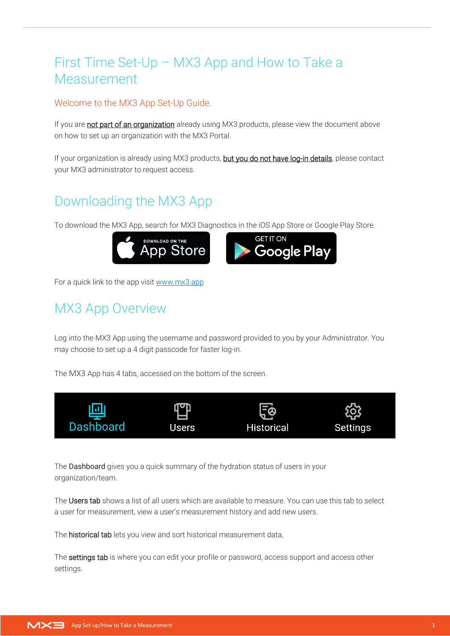#### First Time Set-Up – MX3 App and How to Take a Measurement

#### Welcome to the MX3 App Set-Up Guide.

If you are not part of an organization already using MX3 products, please view the document above on how to set up an organization with the MX3 Portal.

If your organization is already using MX3 products, but you do not have log-in details, please contact your MX3 administrator to request access.

## Downloading the MX3 App

To download the MX3 App, search for MX3 Diagnostics in the iOS App Store or Google Play Store.



For a quick link to the app visi[t www.mx3.app](http://www.mx3.app/)

### MX3 App Overview

Log into the MX3 App using the username and password provided to you by your Administrator. You may choose to set up a 4 digit passcode for faster log-in.

The MX3 App has 4 tabs, accessed on the bottom of the screen.



The Dashboard gives you a quick summary of the hydration status of users in your organization/team.

The Users tab shows a list of all users which are available to measure. You can use this tab to select a user for measurement, view a user's measurement history and add new users.

The historical tab lets you view and sort historical measurement data,

The settings tab is where you can edit your profile or password, access support and access other settings.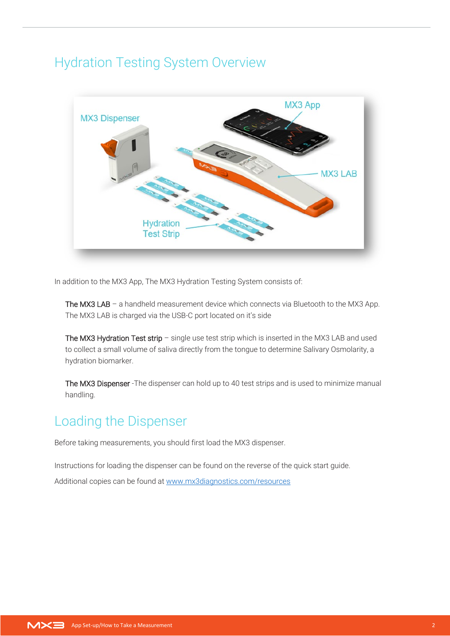#### Hydration Testing System Overview



In addition to the MX3 App, The MX3 Hydration Testing System consists of:

The MX3 LAB – a handheld measurement device which connects via Bluetooth to the MX3 App. The MX3 LAB is charged via the USB-C port located on it's side

The MX3 Hydration Test strip – single use test strip which is inserted in the MX3 LAB and used to collect a small volume of saliva directly from the tongue to determine Salivary Osmolarity, a hydration biomarker.

The MX3 Dispenser -The dispenser can hold up to 40 test strips and is used to minimize manual handling.

#### Loading the Dispenser

Before taking measurements, you should first load the MX3 dispenser.

Instructions for loading the dispenser can be found on the reverse of the quick start guide.

Additional copies can be found at [www.mx3diagnostics.com/resources](http://www.mx3diagnostics.com/resources)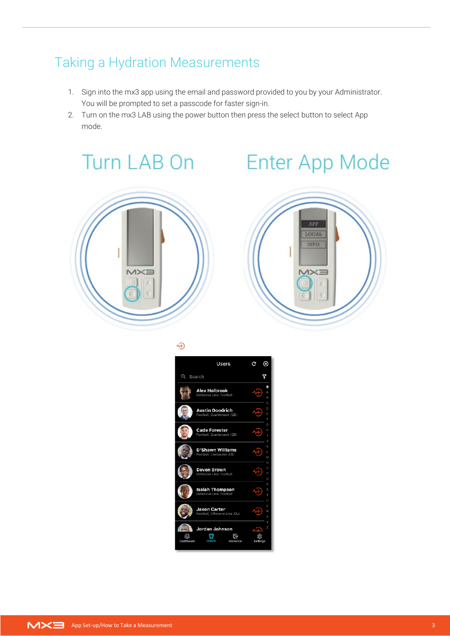### Taking a Hydration Measurements

- 1. Sign into the mx3 app using the email and password provided to you by your Administrator. You will be prompted to set a passcode for faster sign-in.
- 2. Turn on the mx3 LAB using the power button then press the select button to select App mode.

# Turn LAB On Enter App Mode





忸

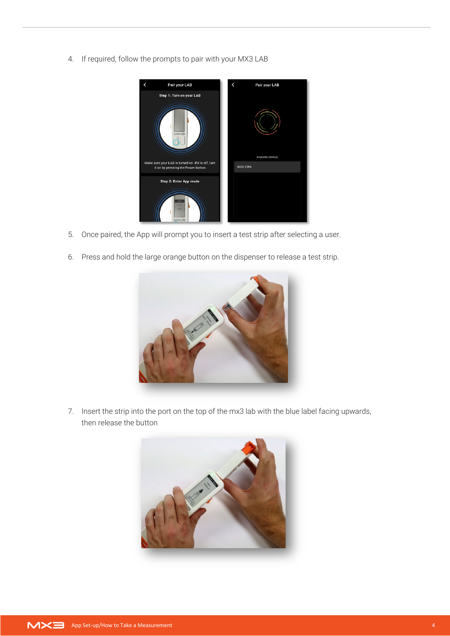4. If required, follow the prompts to pair with your MX3 LAB



- 5. Once paired, the App will prompt you to insert a test strip after selecting a user.
- 6. Press and hold the large orange button on the dispenser to release a test strip.



7. Insert the strip into the port on the top of the mx3 lab with the blue label facing upwards, then release the button

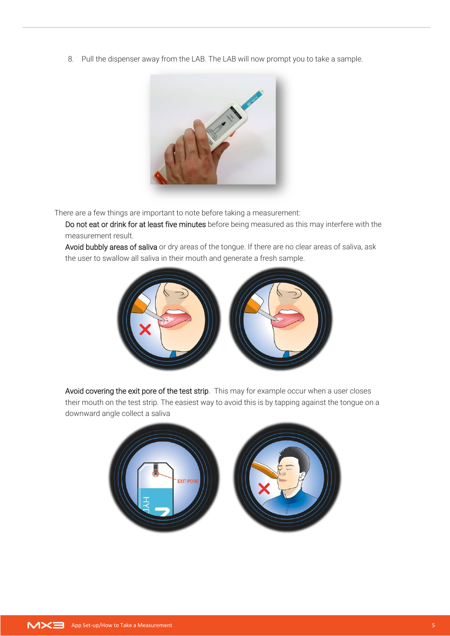8. Pull the dispenser away from the LAB. The LAB will now prompt you to take a sample.



There are a few things are important to note before taking a measurement:

Do not eat or drink for at least five minutes before being measured as this may interfere with the measurement result.

Avoid bubbly areas of saliva or dry areas of the tongue. If there are no clear areas of saliva, ask the user to swallow all saliva in their mouth and generate a fresh sample.



Avoid covering the exit pore of the test strip. This may for example occur when a user closes their mouth on the test strip. The easiest way to avoid this is by tapping against the tongue on a downward angle collect a saliva

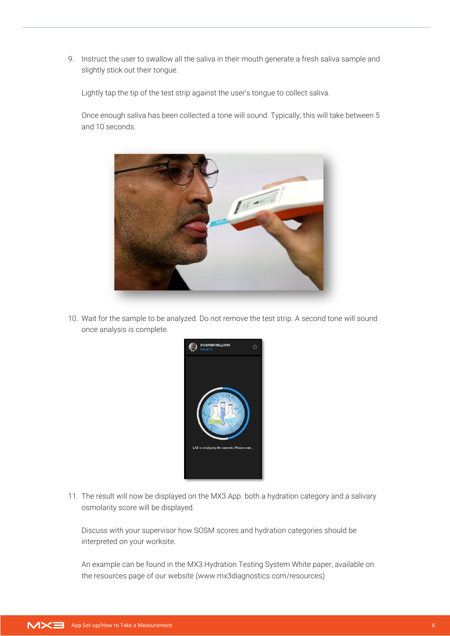9. Instruct the user to swallow all the saliva in their mouth generate a fresh saliva sample and slightly stick out their tongue.

Lightly tap the tip of the test strip against the user's tongue to collect saliva.

Once enough saliva has been collected a tone will sound. Typically, this will take between 5 and 10 seconds.



10. Wait for the sample to be analyzed. Do not remove the test strip. A second tone will sound once analysis is complete.



11. The result will now be displayed on the MX3 App. both a hydration category and a salivary osmolarity score will be displayed.

Discuss with your supervisor how SOSM scores and hydration categories should be interpreted on your worksite.

An example can be found in the MX3 Hydration Testing System White paper, available on the resources page of our website (www.mx3diagnostics.com/resources)